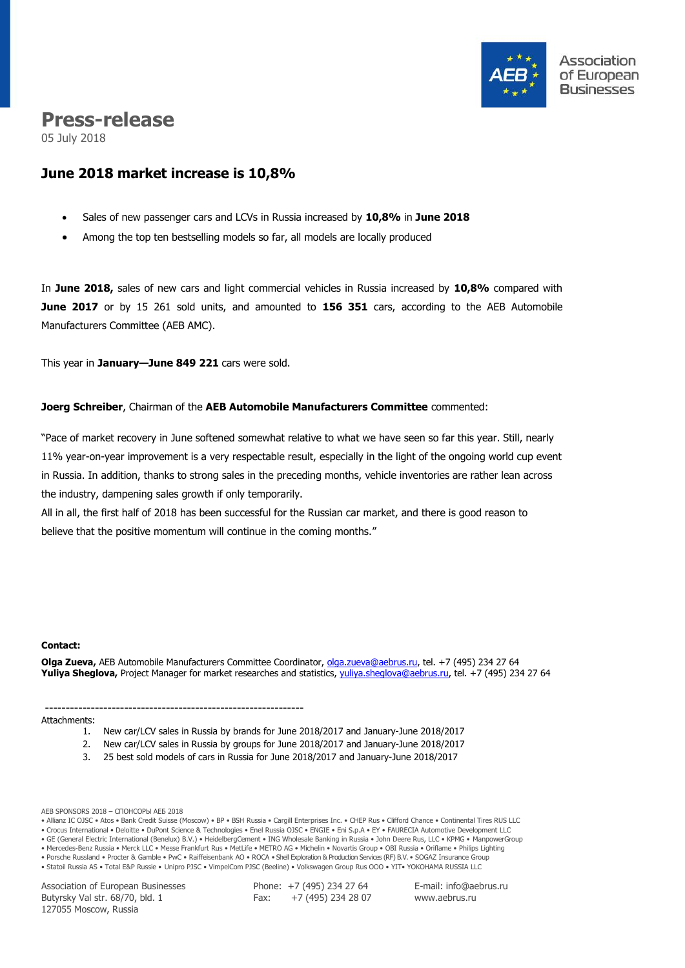

# **Press-release**

05 July 2018

# **June 2018 market increase is 10,8%**

- Sales of new passenger cars and LCVs in Russia increased by **10,8%** in **June 2018**
- Among the top ten bestselling models so far, all models are locally produced

In **June 2018,** sales of new cars and light commercial vehicles in Russia increased by **10,8%** compared with **June 2017** or by 15 261 sold units, and amounted to **156 351** cars, according to the AEB Automobile Manufacturers Committee (AEB AMC).

This year in **January—June 849 221** cars were sold.

### **Joerg Schreiber**, Chairman of the **AEB Automobile Manufacturers Committee** commented:

"Pace of market recovery in June softened somewhat relative to what we have seen so far this year. Still, nearly 11% year-on-year improvement is a very respectable result, especially in the light of the ongoing world cup event in Russia. In addition, thanks to strong sales in the preceding months, vehicle inventories are rather lean across the industry, dampening sales growth if only temporarily.

All in all, the first half of 2018 has been successful for the Russian car market, and there is good reason to believe that the positive momentum will continue in the coming months."

#### **Сontact:**

**Olga Zueva,** AEB Automobile Manufacturers Committee Coordinator, [olga.zueva@aebrus.ru,](mailto:olga.zueva@aebrus.ru) tel. +7 (495) 234 27 64 **Yuliya Sheglova,** Project Manager for market researches and statistics, [yuliya.sheglova@aebrus.ru,](mailto:yuliya.sheglova@aebrus.ru) tel. +7 (495) 234 27 64

#### --------------------------------------------------------------

Attachments:

- 1. New car/LCV sales in Russia by brands for June 2018/2017 and January-June 2018/2017
- 2. New car/LCV sales in Russia by groups for June 2018/2017 and January-June 2018/2017
	- 3. 25 best sold models of cars in Russia for June 2018/2017 and January-June 2018/2017

AEB SPONSORS 2018 – СПОНСОРЫ АЕБ 2018

• Allianz IC OJSC • Atos • Bank Credit Suisse (Moscow) • BP • BSH Russia • Cargill Enterprises Inc. • CHEP Rus • Clifford Chance • Continental Tires RUS LLC

- Crocus International Deloitte DuPont Science & Technologies Enel Russia OJSC ENGIE Eni S.p.A EY FAURECIA Automotive Development LLC
- GE (General Electric International (Benelux) B.V.) HeidelbergCement ING Wholesale Banking in Russia John Deere Rus, LLC KPMG ManpowerGroup • Mercedes-Benz Russia • Merck LLC • Messe Frankfurt Rus • MetLife • METRO AG • Michelin • Novartis Group • OBI Russia • Oriflame • Philips Lighting
- Porsche Russland Procter & Gamble PwC Raiffeisenbank AO ROCA Shell Exploration & Production Services (RF) B.V. SOGAZ Insurance Group

• Statoil Russia AS • Total E&P Russie • Unipro PJSC • VimpelCom PJSC (Beeline) • Volkswagen Group Rus OOO • YIT• YOKOHAMA RUSSIA LLC

Association of European Businesses Butyrsky Val str. 68/70, bld. 1 127055 Moscow, Russia

Phone: +7 (495) 234 27 64 Fax:  $+7(495)$  234 28 07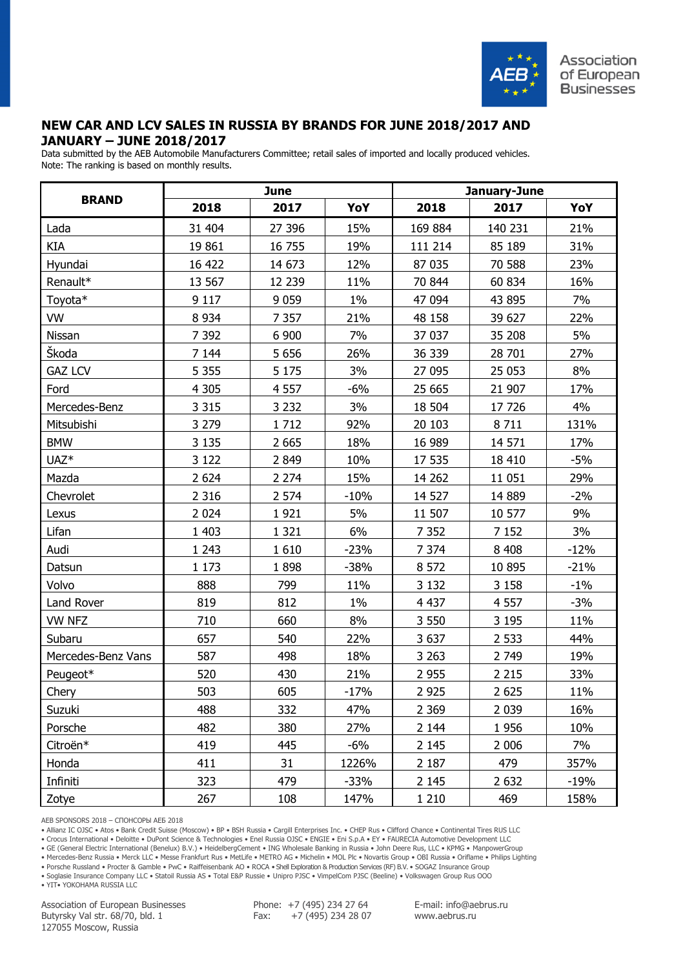

# **NEW CAR AND LCV SALES IN RUSSIA BY BRANDS FOR JUNE 2018/2017 AND JANUARY – JUNE 2018/2017**

Data submitted by the AEB Automobile Manufacturers Committee; retail sales of imported and locally produced vehicles. Note: The ranking is based on monthly results.

|                    |         | <b>June</b> |        | January-June |         |        |  |  |
|--------------------|---------|-------------|--------|--------------|---------|--------|--|--|
| <b>BRAND</b>       | 2018    | 2017        | YoY    | 2018         | 2017    | YoY    |  |  |
| Lada               | 31 404  | 27 396      | 15%    | 169 884      | 140 231 | 21%    |  |  |
| KIA                | 19 861  | 16 755      | 19%    | 111 214      | 85 189  | 31%    |  |  |
| Hyundai            | 16 422  | 14 673      | 12%    | 87 035       | 70 588  | 23%    |  |  |
| Renault*           | 13 567  | 12 239      | 11%    | 70 844       | 60 834  | 16%    |  |  |
| Toyota*            | 9 1 1 7 | 9 0 5 9     | $1\%$  | 47 094       | 43 895  | 7%     |  |  |
| VW                 | 8 9 3 4 | 7 3 5 7     | 21%    | 48 158       | 39 627  | 22%    |  |  |
| Nissan             | 7 3 9 2 | 6 900       | 7%     | 37 037       | 35 208  | 5%     |  |  |
| Škoda              | 7 1 4 4 | 5 6 5 6     | 26%    | 36 339       | 28 701  | 27%    |  |  |
| <b>GAZ LCV</b>     | 5 3 5 5 | 5 1 7 5     | 3%     | 27 095       | 25 053  | 8%     |  |  |
| Ford               | 4 3 0 5 | 4 5 5 7     | $-6%$  | 25 665       | 21 907  | 17%    |  |  |
| Mercedes-Benz      | 3 3 1 5 | 3 2 3 2     | 3%     | 18 504       | 17 726  | 4%     |  |  |
| Mitsubishi         | 3 2 7 9 | 1712        | 92%    | 20 10 3      | 8711    | 131%   |  |  |
| <b>BMW</b>         | 3 1 3 5 | 2 6 6 5     | 18%    | 16 989       | 14 571  | 17%    |  |  |
| UAZ <sup>*</sup>   | 3 1 2 2 | 2 8 4 9     | 10%    | 17 535       | 18 410  | $-5%$  |  |  |
| Mazda              | 2 6 2 4 | 2 2 7 4     | 15%    | 14 26 2      | 11 051  | 29%    |  |  |
| Chevrolet          | 2 3 1 6 | 2 5 7 4     | $-10%$ | 14 5 27      | 14 8 89 | $-2%$  |  |  |
| Lexus              | 2 0 2 4 | 1921        | 5%     | 11 507       | 10 577  | 9%     |  |  |
| Lifan              | 1 4 0 3 | 1 3 2 1     | 6%     | 7 3 5 2      | 7 1 5 2 | 3%     |  |  |
| Audi               | 1 2 4 3 | 1 6 1 0     | $-23%$ | 7 3 7 4      | 8 4 0 8 | $-12%$ |  |  |
| Datsun             | 1 1 7 3 | 1898        | $-38%$ | 8 5 7 2      | 10 895  | $-21%$ |  |  |
| Volvo              | 888     | 799         | 11%    | 3 1 3 2      | 3 1 5 8 | $-1\%$ |  |  |
| Land Rover         | 819     | 812         | $1\%$  | 4 4 3 7      | 4 5 5 7 | $-3%$  |  |  |
| <b>VW NFZ</b>      | 710     | 660         | 8%     | 3 5 5 0      | 3 1 9 5 | 11%    |  |  |
| Subaru             | 657     | 540         | 22%    | 3 6 3 7      | 2 5 3 3 | 44%    |  |  |
| Mercedes-Benz Vans | 587     | 498         | 18%    | 3 2 6 3      | 2 7 4 9 | 19%    |  |  |
| Peugeot*           | 520     | 430         | 21%    | 2 9 5 5      | 2 2 1 5 | 33%    |  |  |
| Chery              | 503     | 605         | $-17%$ | 2 9 2 5      | 2 6 2 5 | 11%    |  |  |
| Suzuki             | 488     | 332         | 47%    | 2 3 6 9      | 2 0 3 9 | 16%    |  |  |
| Porsche            | 482     | 380         | 27%    | 2 1 4 4      | 1956    | 10%    |  |  |
| Citroën*           | 419     | 445         | $-6%$  | 2 1 4 5      | 2 0 0 6 | 7%     |  |  |
| Honda              | 411     | 31          | 1226%  | 2 1 8 7      | 479     | 357%   |  |  |
| Infiniti           | 323     | 479         | $-33%$ | 2 1 4 5      | 2 6 3 2 | $-19%$ |  |  |
| Zotye              | 267     | 108         | 147%   | 1 2 1 0      | 469     | 158%   |  |  |

AEB SPONSORS 2018 – СПОНСОРЫ АЕБ 2018

• Allianz IC OJSC • Atos • Bank Credit Suisse (Moscow) • BP • BSH Russia • Cargill Enterprises Inc. • CHEP Rus • Clifford Chance • Continental Tires RUS LLC

• Crocus International • Deloitte • DuPont Science & Technologies • Enel Russia OJSC • ENGIE • Eni S.p.A • EY • FAURECIA Automotive Development LLC

• GE (General Electric International (Benelux) B.V.) • HeidelbergCement • ING Wholesale Banking in Russia • John Deere Rus, LLC • KPMG • ManpowerGroup

• Mercedes-Benz Russia • Merck LLC • Messe Frankfurt Rus • MetLife • METRO AG • Michelin • MOL Plc • Novartis Group • OBI Russia • Oriflame • Philips Lighting

• Porsche Russland • Procter & Gamble • PwC • Raiffeisenbank AO • ROCA • Shell Exploration & Production Services (RF) B.V. • SOGAZ Insurance Group • Soglasie Insurance Company LLC • Statoil Russia AS • Total E&P Russie • Unipro PJSC • VimpelCom PJSC (Beeline) • Volkswagen Group Rus OOO

• YIT• YOKOHAMA RUSSIA LLC

Association of European Businesses Butyrsky Val str. 68/70, bld. 1 127055 Moscow, Russia

Phone: +7 (495) 234 27 64 Fax: +7 (495) 234 28 07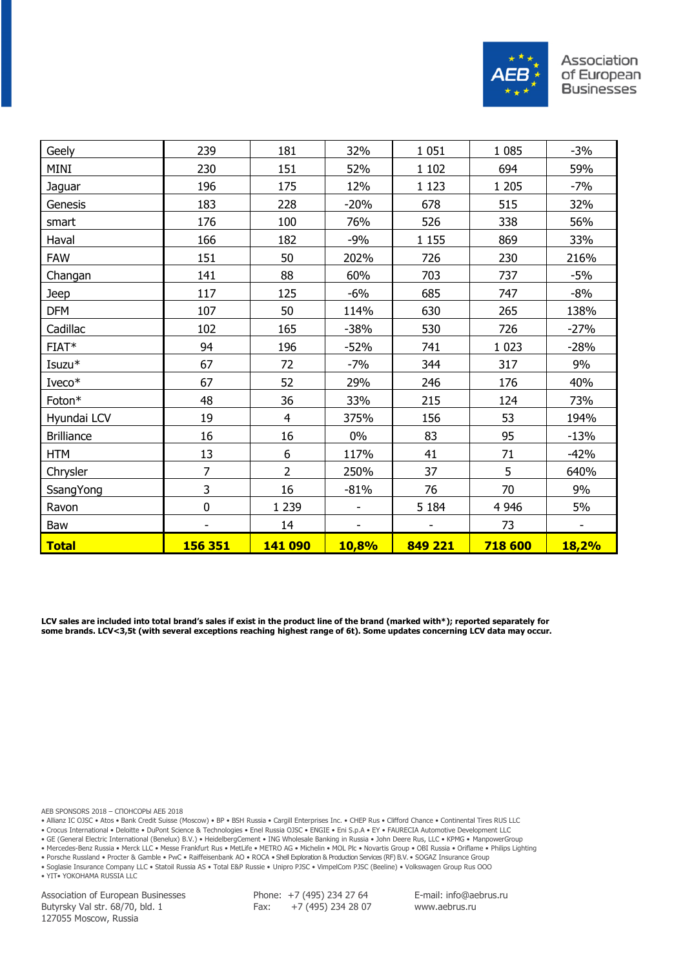

| Geely             | 239            | 181            | 32%                      | 1 0 5 1 | 1 0 8 5 | $-3%$                    |
|-------------------|----------------|----------------|--------------------------|---------|---------|--------------------------|
| MINI              | 230            | 151            | 52%                      | 1 1 0 2 | 694     | 59%                      |
| Jaguar            | 196            | 175            | 12%                      | 1 1 2 3 | 1 2 0 5 | $-7%$                    |
| Genesis           | 183            | 228            | $-20%$                   | 678     | 515     | 32%                      |
| smart             | 176            | 100            | 76%                      | 526     | 338     | 56%                      |
| Haval             | 166            | 182            | $-9%$                    | 1 1 5 5 | 869     | 33%                      |
| FAW               | 151            | 50             | 202%                     | 726     | 230     | 216%                     |
| Changan           | 141            | 88             | 60%                      | 703     | 737     | $-5%$                    |
| Jeep              | 117            | 125            | $-6%$                    | 685     | 747     | $-8%$                    |
| <b>DFM</b>        | 107            | 50             | 114%                     | 630     | 265     | 138%                     |
| Cadillac          | 102            | 165            | $-38%$                   | 530     | 726     | $-27%$                   |
| FIAT*             | 94             | 196            | $-52%$                   | 741     | 1 0 2 3 | $-28%$                   |
| Isuzu*            | 67             | 72             | $-7%$                    | 344     | 317     | 9%                       |
| Iveco*            | 67             | 52             | 29%                      | 246     | 176     | 40%                      |
| Foton*            | 48             | 36             | 33%                      | 215     | 124     | 73%                      |
| Hyundai LCV       | 19             | $\overline{4}$ | 375%                     | 156     | 53      | 194%                     |
| <b>Brilliance</b> | 16             | 16             | $0\%$                    | 83      | 95      | $-13%$                   |
| <b>HTM</b>        | 13             | 6              | 117%                     | 41      | 71      | $-42%$                   |
| Chrysler          | 7              | $\overline{2}$ | 250%                     | 37      | 5       | 640%                     |
| SsangYong         | 3              | 16             | $-81%$                   | 76      | 70      | 9%                       |
| Ravon             | $\mathbf 0$    | 1 2 3 9        |                          | 5 1 8 4 | 4 9 4 6 | 5%                       |
| Baw               |                | 14             | $\overline{\phantom{a}}$ |         | 73      | $\overline{\phantom{0}}$ |
| <b>Total</b>      | <b>156 351</b> | <b>141 090</b> | <b>10,8%</b>             | 849 221 | 718 600 | <b>18,2%</b>             |

**LCV sales are included into total brand's sales if exist in the product line of the brand (marked with\*); reported separately for some brands. LCV<3,5t (with several exceptions reaching highest range of 6t). Some updates concerning LCV data may occur.**

AEB SPONSORS 2018 – СПОНСОРЫ АЕБ 2018

• Allianz IC OJSC • Atos • Bank Credit Suisse (Moscow) • BP • BSH Russia • Cargill Enterprises Inc. • CHEP Rus • Clifford Chance • Continental Tires RUS LLC

• Crocus International • Deloitte • DuPont Science & Technologies • Enel Russia OJSC • ENGIE • Eni S.p.A • EY • FAURECIA Automotive Development LLC

• GE (General Electric International (Benelux) B.V.) • HeidelbergCement • ING Wholesale Banking in Russia • John Deere Rus, LLC • KPMG • ManpowerGroup

• Mercedes-Benz Russia • Merck LLC • Messe Frankfurt Rus • MetLife • METRO AG • Michelin • MOL Plc • Novartis Group • OBI Russia • Oriflame • Philips Lighting

• Porsche Russland • Procter & Gamble • PwC • Raiffeisenbank AO • ROCA • Shell Exploration & Production Services (RF) B.V. • SOGAZ Insurance Group • Soglasie Insurance Company LLC • Statoil Russia AS • Total E&P Russie • Unipro PJSC • VimpelCom PJSC (Beeline) • Volkswagen Group Rus OOO

• YIT• YOKOHAMA RUSSIA LLC

Association of European Businesses Butyrsky Val str. 68/70, bld. 1 127055 Moscow, Russia

Phone: +7 (495) 234 27 64 Fax:  $+7(495)$  234 28 07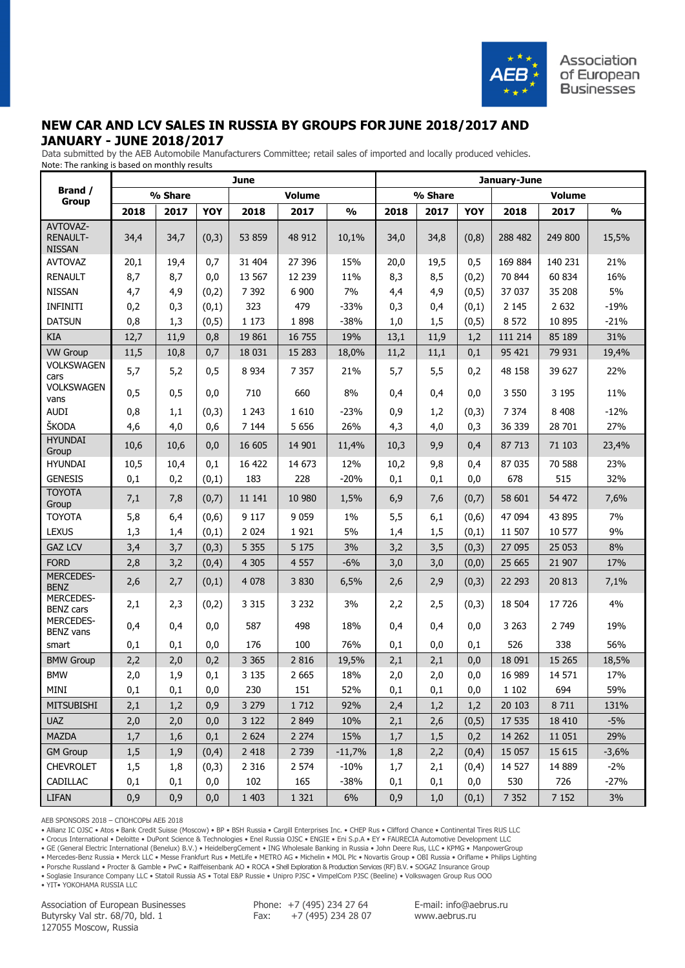

# **NEW CAR AND LCV SALES IN RUSSIA BY GROUPS FOR JUNE 2018/2017 AND JANUARY - JUNE 2018/2017**

 Data submitted by the AEB Automobile Manufacturers Committee; retail sales of imported and locally produced vehicles. Note: The ranking is based on monthly results

|                                              | <b>June</b> |         |        |         |               |               |      | January-June |            |         |               |               |  |  |
|----------------------------------------------|-------------|---------|--------|---------|---------------|---------------|------|--------------|------------|---------|---------------|---------------|--|--|
| Brand /<br><b>Group</b>                      |             | % Share |        |         | <b>Volume</b> |               |      | % Share      |            |         | <b>Volume</b> |               |  |  |
|                                              | 2018        | 2017    | YOY    | 2018    | 2017          | $\frac{0}{0}$ | 2018 | 2017         | <b>YOY</b> | 2018    | 2017          | $\frac{0}{0}$ |  |  |
| AVTOVAZ-<br><b>RENAULT-</b><br><b>NISSAN</b> | 34,4        | 34,7    | (0,3)  | 53 859  | 48 912        | 10,1%         | 34,0 | 34,8         | (0,8)      | 288 482 | 249 800       | 15,5%         |  |  |
| <b>AVTOVAZ</b>                               | 20,1        | 19,4    | 0,7    | 31 404  | 27 39 6       | 15%           | 20,0 | 19,5         | 0,5        | 169 884 | 140 231       | 21%           |  |  |
| <b>RENAULT</b>                               | 8,7         | 8,7     | 0,0    | 13 5 67 | 12 2 39       | 11%           | 8,3  | 8,5          | (0,2)      | 70 844  | 60 834        | 16%           |  |  |
| <b>NISSAN</b>                                | 4,7         | 4,9     | (0,2)  | 7 3 9 2 | 6 900         | 7%            | 4,4  | 4,9          | (0,5)      | 37 037  | 35 208        | 5%            |  |  |
| <b>INFINITI</b>                              | 0,2         | 0,3     | (0,1)  | 323     | 479           | $-33%$        | 0,3  | 0,4          | (0,1)      | 2 1 4 5 | 2 6 3 2       | $-19%$        |  |  |
| <b>DATSUN</b>                                | 0,8         | 1,3     | (0, 5) | 1 1 7 3 | 1898          | $-38%$        | 1,0  | 1,5          | (0, 5)     | 8 5 7 2 | 10 895        | $-21%$        |  |  |
| <b>KIA</b>                                   | 12,7        | 11,9    | 0,8    | 19861   | 16 755        | 19%           | 13,1 | 11,9         | 1,2        | 111 214 | 85 189        | 31%           |  |  |
| <b>VW Group</b>                              | 11,5        | 10,8    | 0,7    | 18 0 31 | 15 28 3       | 18,0%         | 11,2 | 11,1         | 0,1        | 95 421  | 79 931        | 19,4%         |  |  |
| VOLKSWAGEN<br>cars                           | 5,7         | 5,2     | 0,5    | 8 9 3 4 | 7 3 5 7       | 21%           | 5,7  | 5,5          | 0,2        | 48 158  | 39 627        | 22%           |  |  |
| <b>VOLKSWAGEN</b><br>vans                    | 0,5         | 0,5     | 0,0    | 710     | 660           | 8%            | 0,4  | 0,4          | 0,0        | 3 5 5 0 | 3 1 9 5       | 11%           |  |  |
| <b>AUDI</b>                                  | 0,8         | 1,1     | (0,3)  | 1 2 4 3 | 1 6 1 0       | $-23%$        | 0,9  | 1,2          | (0,3)      | 7 3 7 4 | 8 4 0 8       | $-12%$        |  |  |
| ŠKODA                                        | 4,6         | 4,0     | 0,6    | 7 1 4 4 | 5 6 5 6       | 26%           | 4,3  | 4,0          | 0,3        | 36 339  | 28 701        | 27%           |  |  |
| <b>HYUNDAI</b><br>Group                      | 10,6        | 10,6    | 0,0    | 16 605  | 14 901        | 11,4%         | 10,3 | 9,9          | 0,4        | 87 713  | 71 103        | 23,4%         |  |  |
| <b>HYUNDAI</b>                               | 10,5        | 10,4    | 0,1    | 16 422  | 14 673        | 12%           | 10,2 | 9,8          | 0,4        | 87 035  | 70 588        | 23%           |  |  |
| <b>GENESIS</b>                               | 0,1         | 0,2     | (0,1)  | 183     | 228           | $-20%$        | 0,1  | 0,1          | 0,0        | 678     | 515           | 32%           |  |  |
| <b>TOYOTA</b><br>Group                       | 7,1         | 7,8     | (0,7)  | 11 141  | 10 980        | 1,5%          | 6,9  | 7,6          | (0,7)      | 58 601  | 54 472        | 7,6%          |  |  |
| <b>TOYOTA</b>                                | 5,8         | 6,4     | (0,6)  | 9 1 1 7 | 9 0 5 9       | 1%            | 5,5  | 6,1          | (0,6)      | 47 094  | 43 895        | 7%            |  |  |
| <b>LEXUS</b>                                 | 1,3         | 1,4     | (0,1)  | 2 0 2 4 | 1921          | 5%            | 1,4  | 1,5          | (0,1)      | 11 507  | 10 577        | 9%            |  |  |
| <b>GAZ LCV</b>                               | 3,4         | 3,7     | (0,3)  | 5 3 5 5 | 5 1 7 5       | 3%            | 3,2  | 3,5          | (0,3)      | 27 095  | 25 053        | 8%            |  |  |
| <b>FORD</b>                                  | 2,8         | 3,2     | (0,4)  | 4 3 0 5 | 4 5 5 7       | $-6%$         | 3,0  | 3,0          | (0,0)      | 25 6 65 | 21 907        | 17%           |  |  |
| <b>MERCEDES-</b><br><b>BENZ</b>              | 2,6         | 2,7     | (0,1)  | 4 0 78  | 3 8 3 0       | 6,5%          | 2,6  | 2,9          | (0,3)      | 22 293  | 20 813        | 7,1%          |  |  |
| <b>MERCEDES-</b><br><b>BENZ cars</b>         | 2,1         | 2,3     | (0,2)  | 3 3 1 5 | 3 2 3 2       | 3%            | 2,2  | 2,5          | (0,3)      | 18 504  | 17726         | 4%            |  |  |
| <b>MERCEDES-</b><br><b>BENZ vans</b>         | 0,4         | 0,4     | 0,0    | 587     | 498           | 18%           | 0,4  | 0,4          | 0,0        | 3 2 6 3 | 2 7 4 9       | 19%           |  |  |
| smart                                        | 0,1         | 0,1     | 0,0    | 176     | 100           | 76%           | 0,1  | 0,0          | 0,1        | 526     | 338           | 56%           |  |  |
| <b>BMW Group</b>                             | 2,2         | 2,0     | 0,2    | 3 3 6 5 | 2 8 1 6       | 19,5%         | 2,1  | 2,1          | 0,0        | 18 091  | 15 26 5       | 18,5%         |  |  |
| <b>BMW</b>                                   | 2,0         | 1,9     | 0,1    | 3 1 3 5 | 2 6 6 5       | 18%           | 2,0  | 2,0          | 0,0        | 16 989  | 14 571        | 17%           |  |  |
| MINI                                         | 0,1         | 0,1     | 0,0    | 230     | 151           | 52%           | 0,1  | 0,1          | 0,0        | 1 1 0 2 | 694           | 59%           |  |  |
| <b>MITSUBISHI</b>                            | 2,1         | 1,2     | 0,9    | 3 2 7 9 | 1 7 1 2       | 92%           | 2,4  | 1,2          | 1,2        | 20 10 3 | 8 7 1 1       | 131%          |  |  |
| <b>UAZ</b>                                   | 2,0         | 2,0     | 0,0    | 3 1 2 2 | 2 8 4 9       | 10%           | 2,1  | 2,6          | (0, 5)     | 17 535  | 18 4 10       | $-5%$         |  |  |
| <b>MAZDA</b>                                 | 1,7         | 1,6     | 0,1    | 2 6 2 4 | 2 2 7 4       | 15%           | 1,7  | 1,5          | 0,2        | 14 2 62 | 11 0 51       | 29%           |  |  |
| <b>GM Group</b>                              | 1,5         | 1,9     | (0,4)  | 2 4 1 8 | 2 7 3 9       | $-11,7%$      | 1,8  | 2,2          | (0,4)      | 15 0 57 | 15 615        | $-3,6%$       |  |  |
| <b>CHEVROLET</b>                             | 1,5         | 1,8     | (0,3)  | 2 3 1 6 | 2 5 7 4       | $-10%$        | 1,7  | 2,1          | (0,4)      | 14 5 27 | 14 8 89       | $-2\%$        |  |  |
| <b>CADILLAC</b>                              | 0,1         | 0,1     | 0,0    | 102     | 165           | $-38%$        | 0,1  | 0,1          | 0,0        | 530     | 726           | $-27%$        |  |  |
| <b>LIFAN</b>                                 | 0,9         | 0,9     | 0,0    | 1 4 0 3 | 1 3 2 1       | 6%            | 0,9  | 1,0          | (0,1)      | 7 3 5 2 | 7 1 5 2       | 3%            |  |  |

AEB SPONSORS 2018 – СПОНСОРЫ АЕБ 2018

• Allianz IC OJSC • Atos • Bank Credit Suisse (Moscow) • BP • BSH Russia • Cargill Enterprises Inc. • CHEP Rus • Clifford Chance • Continental Tires RUS LLC

• Crocus International • Deloitte • DuPont Science & Technologies • Enel Russia OJSC • ENGIE • Eni S.p.A • EY • FAURECIA Automotive Development LLC

• GE (General Electric International (Benelux) B.V.) • HeidelbergCement • ING Wholesale Banking in Russia • John Deere Rus, LLC • KPMG • ManpowerGroup

• Mercedes-Benz Russia • Merck LLC • Messe Frankfurt Rus • MetLife • METRO AG • Michelin • MOL Plc • Novartis Group • OBI Russia • Oriflame • Philips Lighting

• Porsche Russland • Procter & Gamble • PwC • Raiffeisenbank AO • ROCA • Shell Exploration & Production Services (RF) B.V. • SOGAZ Insurance Group • Soglasie Insurance Company LLC • Statoil Russia AS • Total E&P Russie • Unipro PJSC • VimpelCom PJSC (Beeline) • Volkswagen Group Rus OOO

• YIT• YOKOHAMA RUSSIA LLC

Association of European Businesses Butyrsky Val str. 68/70, bld. 1 127055 Moscow, Russia

Phone: +7 (495) 234 27 64 Fax: +7 (495) 234 28 07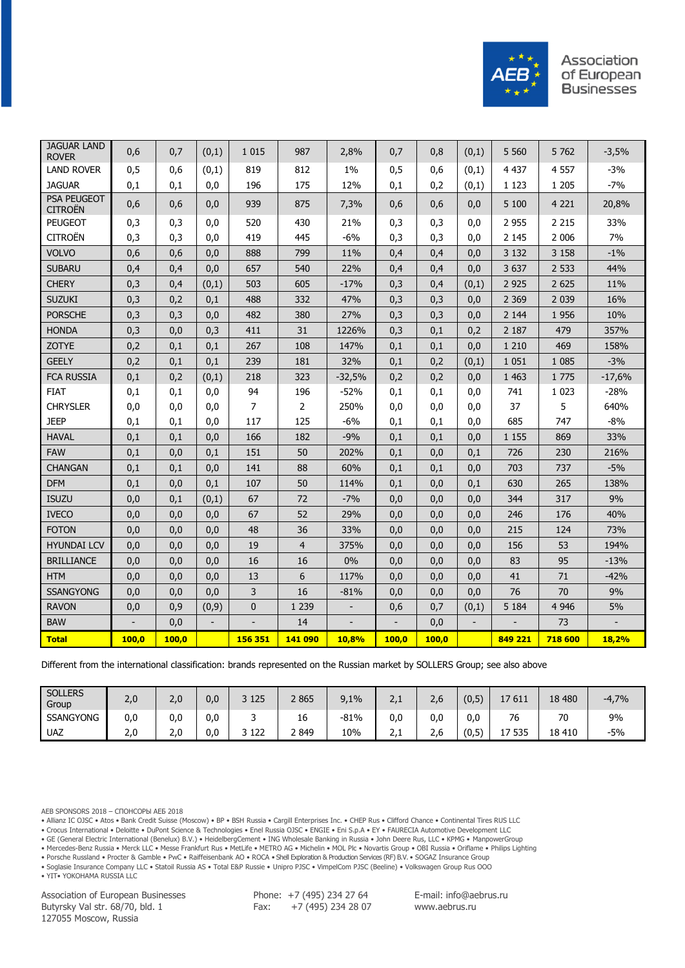

| <b>JAGUAR LAND</b><br><b>ROVER</b>   | 0,6   | 0,7   | (0,1) | 1 0 1 5        | 987            | 2,8%                     | 0,7   | 0,8   | (0,1) | 5 5 6 0 | 5 7 6 2 | $-3,5%$  |
|--------------------------------------|-------|-------|-------|----------------|----------------|--------------------------|-------|-------|-------|---------|---------|----------|
| <b>LAND ROVER</b>                    | 0,5   | 0,6   | (0,1) | 819            | 812            | 1%                       | 0,5   | 0,6   | (0,1) | 4 4 3 7 | 4 5 5 7 | $-3%$    |
| <b>JAGUAR</b>                        | 0,1   | 0,1   | 0,0   | 196            | 175            | 12%                      | 0,1   | 0,2   | (0,1) | 1 1 2 3 | 1 2 0 5 | $-7%$    |
| <b>PSA PEUGEOT</b><br><b>CITROËN</b> | 0,6   | 0,6   | 0,0   | 939            | 875            | 7,3%                     | 0,6   | 0,6   | 0,0   | 5 100   | 4 2 2 1 | 20,8%    |
| <b>PEUGEOT</b>                       | 0,3   | 0,3   | 0,0   | 520            | 430            | 21%                      | 0,3   | 0,3   | 0,0   | 2 9 5 5 | 2 2 1 5 | 33%      |
| <b>CITROËN</b>                       | 0,3   | 0,3   | 0,0   | 419            | 445            | $-6%$                    | 0,3   | 0,3   | 0,0   | 2 1 4 5 | 2 0 0 6 | 7%       |
| <b>VOLVO</b>                         | 0,6   | 0,6   | 0,0   | 888            | 799            | 11%                      | 0,4   | 0,4   | 0,0   | 3 1 3 2 | 3 1 5 8 | $-1%$    |
| <b>SUBARU</b>                        | 0,4   | 0,4   | 0,0   | 657            | 540            | 22%                      | 0,4   | 0,4   | 0,0   | 3 637   | 2 5 3 3 | 44%      |
| <b>CHERY</b>                         | 0,3   | 0,4   | (0,1) | 503            | 605            | $-17%$                   | 0,3   | 0,4   | (0,1) | 2 9 2 5 | 2 6 2 5 | 11%      |
| <b>SUZUKI</b>                        | 0,3   | 0,2   | 0,1   | 488            | 332            | 47%                      | 0,3   | 0,3   | 0,0   | 2 3 6 9 | 2 0 3 9 | 16%      |
| <b>PORSCHE</b>                       | 0,3   | 0,3   | 0,0   | 482            | 380            | 27%                      | 0,3   | 0,3   | 0,0   | 2 1 4 4 | 1956    | 10%      |
| <b>HONDA</b>                         | 0,3   | 0,0   | 0,3   | 411            | 31             | 1226%                    | 0,3   | 0,1   | 0,2   | 2 1 8 7 | 479     | 357%     |
| <b>ZOTYE</b>                         | 0,2   | 0,1   | 0,1   | 267            | 108            | 147%                     | 0,1   | 0,1   | 0,0   | 1 2 1 0 | 469     | 158%     |
| <b>GEELY</b>                         | 0,2   | 0,1   | 0,1   | 239            | 181            | 32%                      | 0,1   | 0,2   | (0,1) | 1 0 5 1 | 1 0 8 5 | $-3%$    |
| <b>FCA RUSSIA</b>                    | 0,1   | 0,2   | (0,1) | 218            | 323            | $-32,5%$                 | 0,2   | 0,2   | 0,0   | 1 4 6 3 | 1775    | $-17,6%$ |
| <b>FIAT</b>                          | 0,1   | 0,1   | 0,0   | 94             | 196            | $-52%$                   | 0,1   | 0,1   | 0,0   | 741     | 1 0 2 3 | $-28%$   |
| <b>CHRYSLER</b>                      | 0,0   | 0,0   | 0,0   | $\overline{7}$ | $\overline{2}$ | 250%                     | 0,0   | 0,0   | 0,0   | 37      | 5       | 640%     |
| <b>JEEP</b>                          | 0,1   | 0,1   | 0,0   | 117            | 125            | $-6%$                    | 0,1   | 0,1   | 0,0   | 685     | 747     | $-8%$    |
| <b>HAVAL</b>                         | 0,1   | 0,1   | 0,0   | 166            | 182            | $-9%$                    | 0,1   | 0,1   | 0,0   | 1 1 5 5 | 869     | 33%      |
| <b>FAW</b>                           | 0,1   | 0,0   | 0,1   | 151            | 50             | 202%                     | 0,1   | 0,0   | 0,1   | 726     | 230     | 216%     |
| <b>CHANGAN</b>                       | 0,1   | 0,1   | 0,0   | 141            | 88             | 60%                      | 0,1   | 0,1   | 0,0   | 703     | 737     | $-5%$    |
| <b>DFM</b>                           | 0,1   | 0,0   | 0,1   | 107            | 50             | 114%                     | 0,1   | 0,0   | 0,1   | 630     | 265     | 138%     |
| <b>ISUZU</b>                         | 0,0   | 0,1   | (0,1) | 67             | 72             | $-7%$                    | 0,0   | 0,0   | 0,0   | 344     | 317     | 9%       |
| <b>IVECO</b>                         | 0,0   | 0,0   | 0,0   | 67             | 52             | 29%                      | 0,0   | 0,0   | 0,0   | 246     | 176     | 40%      |
| <b>FOTON</b>                         | 0,0   | 0,0   | 0,0   | 48             | 36             | 33%                      | 0,0   | 0,0   | 0,0   | 215     | 124     | 73%      |
| <b>HYUNDAI LCV</b>                   | 0,0   | 0,0   | 0,0   | 19             | $\overline{4}$ | 375%                     | 0,0   | 0,0   | 0,0   | 156     | 53      | 194%     |
| <b>BRILLIANCE</b>                    | 0,0   | 0,0   | 0,0   | 16             | 16             | 0%                       | 0,0   | 0,0   | 0,0   | 83      | 95      | $-13%$   |
| <b>HTM</b>                           | 0,0   | 0,0   | 0,0   | 13             | 6              | 117%                     | 0,0   | 0,0   | 0,0   | 41      | 71      | $-42%$   |
| <b>SSANGYONG</b>                     | 0,0   | 0,0   | 0,0   | 3              | 16             | $-81%$                   | 0,0   | 0,0   | 0,0   | 76      | 70      | 9%       |
| <b>RAVON</b>                         | 0,0   | 0,9   | (0,9) | $\mathbf{0}$   | 1 2 3 9        | $\overline{\phantom{a}}$ | 0,6   | 0,7   | (0,1) | 5 1 8 4 | 4 9 4 6 | 5%       |
| <b>BAW</b>                           |       | 0,0   |       |                | 14             |                          |       | 0,0   |       |         | 73      |          |
| <b>Total</b>                         | 100,0 | 100,0 |       | 156 351        | 141 090        | 10,8%                    | 100,0 | 100,0 |       | 849 221 | 718 600 | 18,2%    |

Different from the international classification: brands represented on the Russian market by SOLLERS Group; see also above

| <b>SOLLERS</b><br>Group | 2,0 | 2,0 | 0,0 | 3 1 2 5  | 2 8 6 5 | 9,1%<br>Q | $\overline{\phantom{a}}$<br>د رے | -<br>z,c | (0,5)<br>$\sqrt{2}$ | '7611<br>⊥∕                                 | 18 480  | $-4,7%$ |
|-------------------------|-----|-----|-----|----------|---------|-----------|----------------------------------|----------|---------------------|---------------------------------------------|---------|---------|
| <b>SSANGYONG</b>        | 0,0 | 0,0 | 0,0 | ـ        | 16      | $-81%$    | 0.0                              | 0.0      | 0,0                 | 76                                          | 70      | 9%      |
| <b>UAZ</b>              | 2,0 | 2.0 | 0,0 | 122<br>ັ | 2 8 4 9 | 10%       | $\overline{\phantom{a}}$<br>2, 1 | -<br>z.o | (0,5)<br>$\sqrt{2}$ | 535<br>$\overline{\phantom{a}}$<br><b>*</b> | 18 4 10 | -5%     |

AEB SPONSORS 2018 – СПОНСОРЫ АЕБ 2018

• Allianz IC OJSC • Atos • Bank Credit Suisse (Moscow) • BP • BSH Russia • Cargill Enterprises Inc. • CHEP Rus • Clifford Chance • Continental Tires RUS LLC

• Crocus International • Deloitte • DuPont Science & Technologies • Enel Russia OJSC • ENGIE • Eni S.p.A • EY • FAURECIA Automotive Development LLC

• GE (General Electric International (Benelux) B.V.) • HeidelbergCement • ING Wholesale Banking in Russia • John Deere Rus, LLC • KPMG • ManpowerGroup

• Mercedes-Benz Russia • Merck LLC • Messe Frankfurt Rus • MetLife • METRO AG • Michelin • MOL Plc • Novartis Group • OBI Russia • Oriflame • Philips Lighting

• Porsche Russland • Procter & Gamble • PwC • Raiffeisenbank AO • ROCA • Shell Exploration & Production Services (RF) B.V. • SOGAZ Insurance Group • Soglasie Insurance Company LLC • Statoil Russia AS • Total E&P Russie • Unipro PJSC • VimpelCom PJSC (Beeline) • Volkswagen Group Rus OOO

• YIT• YOKOHAMA RUSSIA LLC

Association of European Businesses Butyrsky Val str. 68/70, bld. 1 127055 Moscow, Russia

Phone: +7 (495) 234 27 64 Fax: +7 (495) 234 28 07